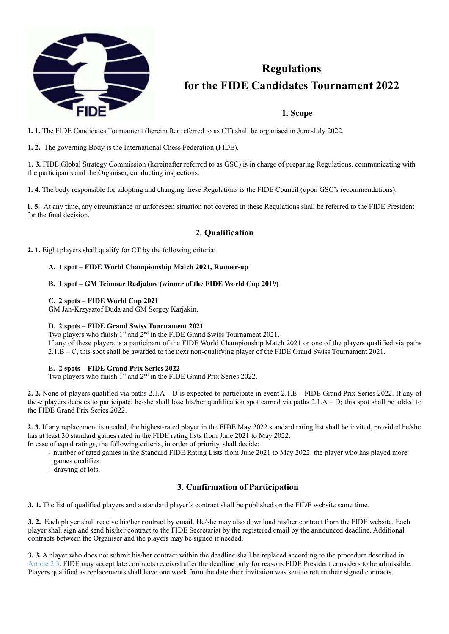

# **Regulations for the FIDE Candidates Tournament 2022**

## **1. Scope**

**1. 1.** The FIDE Candidates Tournament (hereinafter referred to as CT) shall be organised in June-July 2022.

**1. 2.** The governing Body is the International Chess Federation (FIDE).

**1. 3.** FIDE Global Strategy Commission (hereinafter referred to as GSC) is in charge of preparing Regulations, communicating with the participants and the Organiser, conducting inspections.

**1. 4.** The body responsible for adopting and changing these Regulations is the FIDE Council (upon GSC's recommendations).

**1. 5.** At any time, any circumstance or unforeseen situation not covered in these Regulations shall be referred to the FIDE President for the final decision.

## **2. Qualification**

**2. 1.** Eight players shall qualify for CT by the following criteria:

## **A. 1 spot – FIDE World Championship Match 2021, Runner-up**

### **B. 1 spot – GM Teimour Radjabov (winner of the FIDE World Cup 2019)**

### **C. 2 spots – FIDE World Cup 2021**

GM Jan-Krzysztof Duda and GM Sergey Karjakin.

## **D. 2 spots – FIDE Grand Swiss Tournament 2021**

Two players who finish 1<sup>st</sup> and 2<sup>nd</sup> in the FIDE Grand Swiss Tournament 2021.

If any of these players is a participant of the FIDE World Championship Match 2021 or one of the players qualified via paths 2.1.B – C, this spot shall be awarded to the next non-qualifying player of the FIDE Grand Swiss Tournament 2021.

## **E. 2 spots – FIDE Grand Prix Series 2022**

Two players who finish 1<sup>st</sup> and 2<sup>nd</sup> in the FIDE Grand Prix Series 2022.

**2. 2.** None of players qualified via paths 2.1.A – D is expected to participate in event 2.1.E – FIDE Grand Prix Series 2022. If any of these players decides to participate, he/she shall lose his/her qualification spot earned via paths 2.1.A – D; this spot shall be added to the FIDE Grand Prix Series 2022.

**2. 3.** If any replacement is needed, the highest-rated player in the FIDE May 2022 standard rating list shall be invited, provided he/she has at least 30 standard games rated in the FIDE rating lists from June 2021 to May 2022. In case of equal ratings, the following criteria, in order of priority, shall decide:

- ‐ number of rated games in the Standard FIDE Rating Lists from June 2021 to May 2022: the player who has played more games qualifies.
- ‐ drawing of lots.

## **3. Confirmation of Participation**

**3. 1.** The list of qualified players and a standard player's contract shall be published on the FIDE website same time.

**3. 2.** Each player shall receive his/her contract by email. He/she may also download his/her contract from the FIDE website. Each player shall sign and send his/her contract to the FIDE Secretariat by the registered email by the announced deadline. Additional contracts between the Organiser and the players may be signed if needed.

**3. 3.** A player who does not submit his/her contract within the deadline shall be replaced according to the procedure described in Article 2.3. FIDE may accept late contracts received after the deadline only for reasons FIDE President considers to be admissible. Players qualified as replacements shall have one week from the date their invitation was sent to return their signed contracts.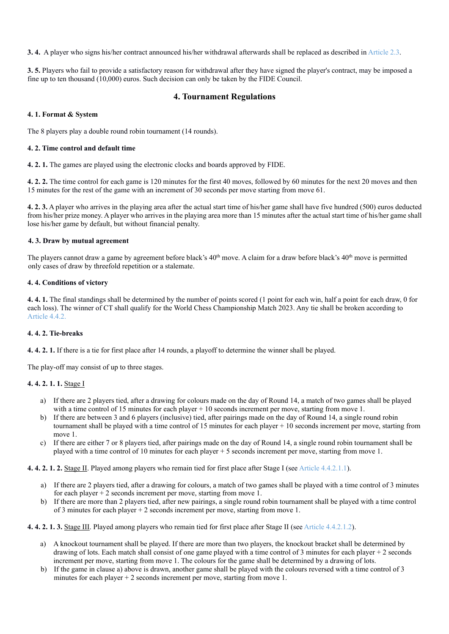**3. 4.** A player who signs his/her contract announced his/her withdrawal afterwards shall be replaced as described in Article 2.3.

**3. 5.** Players who fail to provide a satisfactory reason for withdrawal after they have signed the player's contract, may be imposed a fine up to ten thousand (10,000) euros. Such decision can only be taken by the FIDE Council.

## **4. Tournament Regulations**

## **4. 1. Format & System**

The 8 players play a double round robin tournament (14 rounds).

### **4. 2. Time control and default time**

**4. 2. 1.** The games are played using the electronic clocks and boards approved by FIDE.

**4. 2. 2.** The time control for each game is 120 minutes for the first 40 moves, followed by 60 minutes for the next 20 moves and then 15 minutes for the rest of the game with an increment of 30 seconds per move starting from move 61.

**4. 2. 3.** A player who arrives in the playing area after the actual start time of his/her game shall have five hundred (500) euros deducted from his/her prize money. A player who arrives in the playing area more than 15 minutes after the actual start time of his/her game shall lose his/her game by default, but without financial penalty.

### **4. 3. Draw by mutual agreement**

The players cannot draw a game by agreement before black's  $40<sup>th</sup>$  move. A claim for a draw before black's  $40<sup>th</sup>$  move is permitted only cases of draw by threefold repetition or a stalemate.

## **4. 4. Conditions of victory**

**4. 4. 1.** The final standings shall be determined by the number of points scored (1 point for each win, half a point for each draw, 0 for each loss). The winner of CT shall qualify for the World Chess Championship Match 2023. Any tie shall be broken according to Article 4.4.2.

## **4. 4. 2. Tie-breaks**

**4. 4. 2. 1.** If there is a tie for first place after 14 rounds, a playoff to determine the winner shall be played.

The play-off may consist of up to three stages.

## **4. 4. 2. 1. 1.** Stage I

- a) If there are 2 players tied, after a drawing for colours made on the day of Round 14, a match of two games shall be played with a time control of 15 minutes for each player + 10 seconds increment per move, starting from move 1.
- b) If there are between 3 and 6 players (inclusive) tied, after pairings made on the day of Round 14, a single round robin tournament shall be played with a time control of 15 minutes for each player + 10 seconds increment per move, starting from move 1.
- c) If there are either 7 or 8 players tied, after pairings made on the day of Round 14, a single round robin tournament shall be played with a time control of 10 minutes for each player + 5 seconds increment per move, starting from move 1.

**4. 4. 2. 1. 2.** Stage II. Played among players who remain tied for first place after Stage I (see Article 4.4.2.1.1).

- a) If there are 2 players tied, after a drawing for colours, a match of two games shall be played with a time control of 3 minutes for each player  $+ 2$  seconds increment per move, starting from move 1.
- b) If there are more than 2 players tied, after new pairings, a single round robin tournament shall be played with a time control of 3 minutes for each player + 2 seconds increment per move, starting from move 1.

**4. 4. 2. 1. 3.** Stage III. Played among players who remain tied for first place after Stage II (see Article 4.4.2.1.2).

- a) A knockout tournament shall be played. If there are more than two players, the knockout bracket shall be determined by drawing of lots. Each match shall consist of one game played with a time control of 3 minutes for each player + 2 seconds increment per move, starting from move 1. The colours for the game shall be determined by a drawing of lots.
- b) If the game in clause a) above is drawn, another game shall be played with the colours reversed with a time control of 3 minutes for each player  $+2$  seconds increment per move, starting from move 1.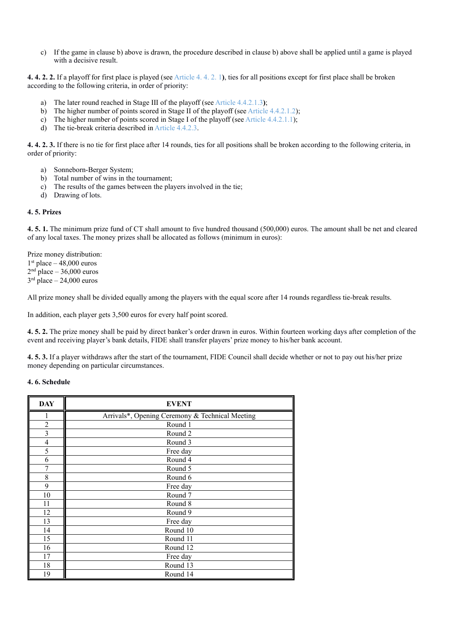c) If the game in clause b) above is drawn, the procedure described in clause b) above shall be applied until a game is played with a decisive result.

**4. 4. 2. 2.** If a playoff for first place is played (see Article 4. 4. 2. 1**)**, ties for all positions except for first place shall be broken according to the following criteria, in order of priority:

- a) The later round reached in Stage III of the playoff (see Article 4.4.2.1.3**)**;
- b) The higher number of points scored in Stage II of the playoff (see Article 4.4.2.1.2);
- c) The higher number of points scored in Stage I of the playoff (see Article 4.4.2.1.1);
- d) The tie-break criteria described in Article 4.4.2.3.

**4. 4. 2. 3.** If there is no tie for first place after 14 rounds, ties for all positions shall be broken according to the following criteria, in order of priority:

- a) Sonneborn-Berger System;
- b) Total number of wins in the tournament;
- c) The results of the games between the players involved in the tie;
- d) Drawing of lots.

### **4. 5. Prizes**

**4. 5. 1.** The minimum prize fund of CT shall amount to five hundred thousand (500,000) euros. The amount shall be net and cleared of any local taxes. The money prizes shall be allocated as follows (minimum in euros):

Prize money distribution:  $1<sup>st</sup>$  place – 48,000 euros  $2<sup>nd</sup>$  place – 36,000 euros  $3<sup>rd</sup>$  place – 24,000 euros

All prize money shall be divided equally among the players with the equal score after 14 rounds regardless tie-break results.

In addition, each player gets 3,500 euros for every half point scored.

**4. 5. 2.** The prize money shall be paid by direct banker's order drawn in euros. Within fourteen working days after completion of the event and receiving player's bank details, FIDE shall transfer players' prize money to his/her bank account.

**4. 5. 3.** If a player withdraws after the start of the tournament, FIDE Council shall decide whether or not to pay out his/her prize money depending on particular circumstances.

### **4. 6. Schedule**

| <b>DAY</b>              | <b>EVENT</b>                                    |
|-------------------------|-------------------------------------------------|
| 1                       | Arrivals*, Opening Ceremony & Technical Meeting |
| 2                       | Round 1                                         |
| $\overline{\mathbf{3}}$ | Round 2                                         |
| 4                       | Round 3                                         |
| 5                       | Free day                                        |
| 6                       | Round 4                                         |
| 7                       | Round 5                                         |
| 8                       | Round 6                                         |
| 9                       | Free day                                        |
| 10                      | Round 7                                         |
| 11                      | Round 8                                         |
| 12                      | Round 9                                         |
| 13                      | Free day                                        |
| 14                      | Round 10                                        |
| 15                      | Round 11                                        |
| 16                      | Round 12                                        |
| 17                      | Free day                                        |
| 18                      | Round 13                                        |
| 19                      | Round 14                                        |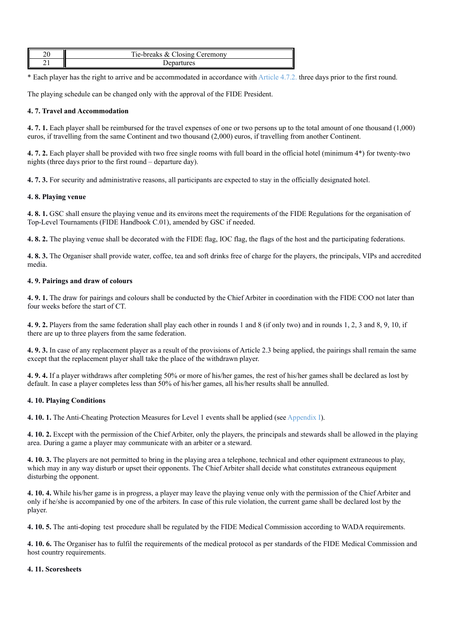| $\sim$<br>∠∪ | Tie-breaks $\alpha$<br>$\Box$ losing $\sqrt{ }$<br>$x_{0}$<br>eremony |
|--------------|-----------------------------------------------------------------------|
|              |                                                                       |

\* Each player has the right to arrive and be accommodated in accordance with Article 4.7.2. three days prior to the first round.

The playing schedule can be changed only with the approval of the FIDE President.

## **4. 7. Travel and Accommodation**

**4. 7. 1.** Each player shall be reimbursed for the travel expenses of one or two persons up to the total amount of one thousand (1,000) euros, if travelling from the same Continent and two thousand (2,000) euros, if travelling from another Continent.

**4. 7. 2.** Each player shall be provided with two free single rooms with full board in the official hotel (minimum 4\*) for twenty-two nights (three days prior to the first round – departure day).

**4. 7. 3.** For security and administrative reasons, all participants are expected to stay in the officially designated hotel.

## **4. 8. Playing venue**

**4. 8. 1.** GSC shall ensure the playing venue and its environs meet the requirements of the FIDE Regulations for the organisation of Top-Level Tournaments (FIDE Handbook C.01), amended by GSC if needed.

**4. 8. 2.** The playing venue shall be decorated with the FIDE flag, IOC flag, the flags of the host and the participating federations.

**4. 8. 3.** The Organiser shall provide water, coffee, tea and soft drinks free of charge for the players, the principals, VIPs and accredited media.

## **4. 9. Pairings and draw of colours**

**4. 9. 1.** The draw for pairings and colours shall be conducted by the Chief Arbiter in coordination with the FIDE COO not later than four weeks before the start of CT.

**4. 9. 2.** Players from the same federation shall play each other in rounds 1 and 8 (if only two) and in rounds 1, 2, 3 and 8, 9, 10, if there are up to three players from the same federation.

**4. 9. 3.** In case of any replacement player as a result of the provisions of Article 2.3 being applied, the pairings shall remain the same except that the replacement player shall take the place of the withdrawn player.

**4. 9. 4.** If a player withdraws after completing 50% or more of his/her games, the rest of his/her games shall be declared as lost by default. In case a player completes less than 50% of his/her games, all his/her results shall be annulled.

## **4. 10. Playing Conditions**

**4. 10. 1.** The Anti-Cheating Protection Measures for Level 1 events shall be applied (see Appendix I).

**4. 10. 2.** Except with the permission of the Chief Arbiter, only the players, the principals and stewards shall be allowed in the playing area. During a game a player may communicate with an arbiter or a steward.

**4. 10. 3.** The players are not permitted to bring in the playing area a telephone, technical and other equipment extraneous to play, which may in any way disturb or upset their opponents. The Chief Arbiter shall decide what constitutes extraneous equipment disturbing the opponent.

**4. 10. 4.** While his/her game is in progress, a player may leave the playing venue only with the permission of the Chief Arbiter and only if he/she is accompanied by one of the arbiters. In case of this rule violation, the current game shall be declared lost by the player.

**4. 10. 5.** The anti-doping test procedure shall be regulated by the FIDE Medical Commission according to WADA requirements.

**4. 10. 6.** The Organiser has to fulfil the requirements of the medical protocol as per standards of the FIDE Medical Commission and host country requirements.

## **4. 11. Scoresheets**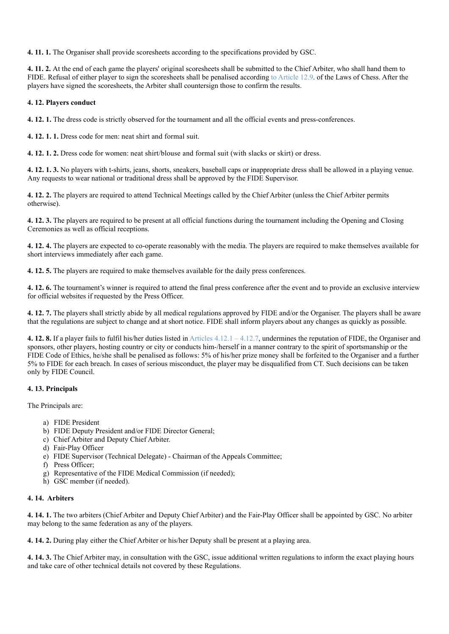**4. 11. 1.** The Organiser shall provide scoresheets according to the specifications provided by GSC.

**4. 11. 2.** At the end of each game the players' original scoresheets shall be submitted to the Chief Arbiter, who shall hand them to FIDE. Refusal of either player to sign the scoresheets shall be penalised according to Article 12.9. of the Laws of Chess. After the players have signed the scoresheets, the Arbiter shall countersign those to confirm the results.

## **4. 12. Players conduct**

**4. 12. 1.** The dress code is strictly observed for the tournament and all the official events and press-conferences.

**4. 12. 1. 1.** Dress code for men: neat shirt and formal suit.

**4. 12. 1. 2.** Dress code for women: neat shirt/blouse and formal suit (with slacks or skirt) or dress.

**4. 12. 1. 3.** No players with t-shirts, jeans, shorts, sneakers, baseball caps or inappropriate dress shall be allowed in a playing venue. Any requests to wear national or traditional dress shall be approved by the FIDE Supervisor.

**4. 12. 2.** The players are required to attend Technical Meetings called by the Chief Arbiter (unless the Chief Arbiter permits otherwise).

**4. 12. 3.** The players are required to be present at all official functions during the tournament including the Opening and Closing Ceremonies as well as official receptions.

**4. 12. 4.** The players are expected to co-operate reasonably with the media. The players are required to make themselves available for short interviews immediately after each game.

**4. 12. 5.** The players are required to make themselves available for the daily press conferences.

**4. 12. 6.** The tournament's winner is required to attend the final press conference after the event and to provide an exclusive interview for official websites if requested by the Press Officer.

**4. 12. 7.** The players shall strictly abide by all medical regulations approved by FIDE and/or the Organiser. The players shall be aware that the regulations are subject to change and at short notice. FIDE shall inform players about any changes as quickly as possible.

**4. 12. 8.** If a player fails to fulfil his/her duties listed in Articles 4.12.1 – 4.12.7, undermines the reputation of FIDE, the Organiser and sponsors, other players, hosting country or city or conducts him-/herself in a manner contrary to the spirit of sportsmanship or the FIDE Code of Ethics, he/she shall be penalised as follows: 5% of his/her prize money shall be forfeited to the Organiser and a further 5% to FIDE for each breach. In cases of serious misconduct, the player may be disqualified from CT. Such decisions can be taken only by FIDE Council.

## **4. 13. Principals**

The Principals are:

- a) FIDE President
- b) FIDE Deputy President and/or FIDE Director General;
- c) Chief Arbiter and Deputy Chief Arbiter.
- d) Fair-Play Officer
- e) FIDE Supervisor (Technical Delegate) Chairman of the Appeals Committee;
- f) Press Officer;
- g) Representative of the FIDE Medical Commission (if needed);
- h) GSC member (if needed).

## **4. 14. Arbiters**

**4. 14. 1.** The two arbiters (Chief Arbiter and Deputy Chief Arbiter) and the Fair-Play Officer shall be appointed by GSC. No arbiter may belong to the same federation as any of the players.

**4. 14. 2.** During play either the Chief Arbiter or his/her Deputy shall be present at a playing area.

**4. 14. 3.** The Chief Arbiter may, in consultation with the GSC, issue additional written regulations to inform the exact playing hours and take care of other technical details not covered by these Regulations.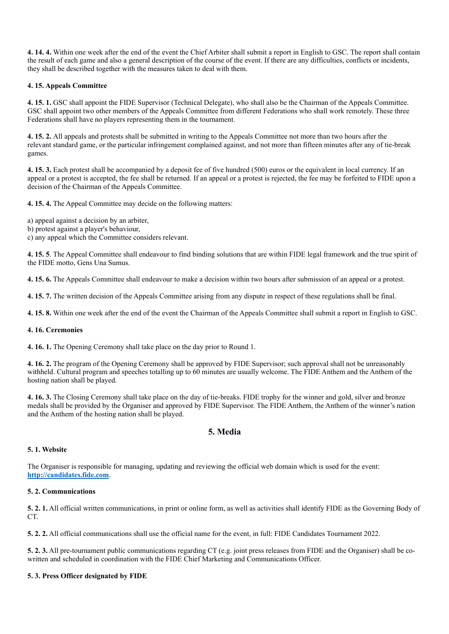**4. 14. 4.** Within one week after the end of the event the Chief Arbiter shall submit a report in English to GSC. The report shall contain the result of each game and also a general description of the course of the event. If there are any difficulties, conflicts or incidents, they shall be described together with the measures taken to deal with them.

## **4. 15. Appeals Committee**

**4. 15. 1.** GSC shall appoint the FIDE Supervisor (Technical Delegate), who shall also be the Chairman of the Appeals Committee. GSC shall appoint two other members of the Appeals Committee from different Federations who shall work remotely. These three Federations shall have no players representing them in the tournament.

**4. 15. 2.** All appeals and protests shall be submitted in writing to the Appeals Committee not more than two hours after the relevant standard game, or the particular infringement complained against, and not more than fifteen minutes after any of tie-break games.

**4. 15. 3.** Each protest shall be accompanied by a deposit fee of five hundred (500) euros or the equivalent in local currency. If an appeal or a protest is accepted, the fee shall be returned. If an appeal or a protest is rejected, the fee may be forfeited to FIDE upon a decision of the Chairman of the Appeals Committee.

**4. 15. 4.** The Appeal Committee may decide on the following matters:

a) appeal against a decision by an arbiter,

b) protest against a player's behaviour,

c) any appeal which the Committee considers relevant.

**4. 15. 5**. The Appeal Committee shall endeavour to find binding solutions that are within FIDE legal framework and the true spirit of the FIDE motto, Gens Una Sumus.

**4. 15. 6.** The Appeals Committee shall endeavour to make a decision within two hours after submission of an appeal or a protest.

**4. 15. 7.** The written decision of the Appeals Committee arising from any dispute in respect of these regulations shall be final.

**4. 15. 8.** Within one week after the end of the event the Chairman of the Appeals Committee shall submit a report in English to GSC.

## **4. 16. Ceremonies**

**4. 16. 1.** The Opening Ceremony shall take place on the day prior to Round 1.

**4. 16. 2.** The program of the Opening Ceremony shall be approved by FIDE Supervisor; such approval shall not be unreasonably withheld. Cultural program and speeches totalling up to 60 minutes are usually welcome. The FIDE Anthem and the Anthem of the hosting nation shall be played.

**4. 16. 3.** The Closing Ceremony shall take place on the day of tie-breaks. FIDE trophy for the winner and gold, silver and bronze medals shall be provided by the Organiser and approved by FIDE Supervisor. The FIDE Anthem, the Anthem of the winner's nation and the Anthem of the hosting nation shall be played.

## **5. Media**

## **5. 1. Website**

The Organiser is responsible for managing, updating and reviewing the official web domain which is used for the event: **http://candidates.fide.com**.

## **5. 2. Communications**

**5. 2. 1.** All official written communications, in print or online form, as well as activities shall identify FIDE as the Governing Body of CT.

**5. 2. 2.** All official communications shall use the official name for the event, in full: FIDE Candidates Tournament 2022.

**5. 2. 3.** All pre-tournament public communications regarding CT (e.g. joint press releases from FIDE and the Organiser) shall be cowritten and scheduled in coordination with the FIDE Chief Marketing and Communications Officer.

## **5. 3. Press Officer designated by FIDE**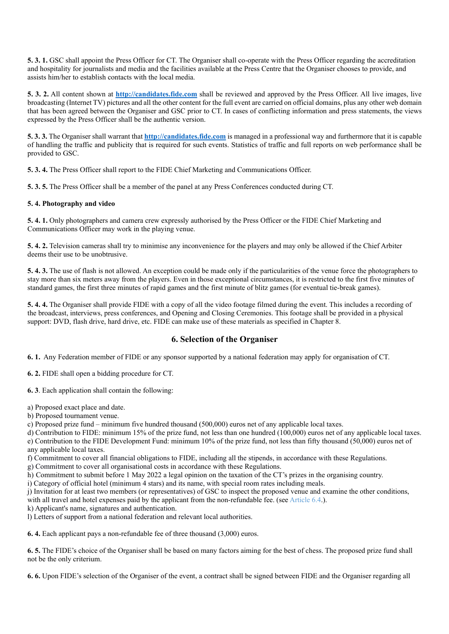**5. 3. 1.** GSC shall appoint the Press Officer for CT. The Organiser shall co-operate with the Press Officer regarding the accreditation and hospitality for journalists and media and the facilities available at the Press Centre that the Organiser chooses to provide, and assists him/her to establish contacts with the local media.

**5. 3. 2.** All content shown at **http://candidates.fide.com** shall be reviewed and approved by the Press Officer. All live images, live broadcasting (Internet TV) pictures and all the other content for the full event are carried on official domains, plus any other web domain that has been agreed between the Organiser and GSC prior to CT. In cases of conflicting information and press statements, the views expressed by the Press Officer shall be the authentic version.

**5. 3. 3.** The Organiser shall warrant that **http://candidates.fide.com** is managed in a professional way and furthermore that it is capable of handling the traffic and publicity that is required for such events. Statistics of traffic and full reports on web performance shall be provided to GSC.

**5. 3. 4.** The Press Officer shall report to the FIDE Chief Marketing and Communications Officer.

**5. 3. 5.** The Press Officer shall be a member of the panel at any Press Conferences conducted during CT.

## **5. 4. Photography and video**

**5. 4. 1.** Only photographers and camera crew expressly authorised by the Press Officer or the FIDE Chief Marketing and Communications Officer may work in the playing venue.

**5. 4. 2.** Television cameras shall try to minimise any inconvenience for the players and may only be allowed if the Chief Arbiter deems their use to be unobtrusive.

**5. 4. 3.** The use of flash is not allowed. An exception could be made only if the particularities of the venue force the photographers to stay more than six meters away from the players. Even in those exceptional circumstances, it is restricted to the first five minutes of standard games, the first three minutes of rapid games and the first minute of blitz games (for eventual tie-break games).

**5. 4. 4.** The Organiser shall provide FIDE with a copy of all the video footage filmed during the event. This includes a recording of the broadcast, interviews, press conferences, and Opening and Closing Ceremonies. This footage shall be provided in a physical support: DVD, flash drive, hard drive, etc. FIDE can make use of these materials as specified in Chapter 8.

## **6. Selection of the Organiser**

**6. 1.** Any Federation member of FIDE or any sponsor supported by a national federation may apply for organisation of CT.

**6. 2.** FIDE shall open a bidding procedure for CT.

**6. 3**. Each application shall contain the following:

- a) Proposed exact place and date.
- b) Proposed tournament venue.

c) Proposed prize fund – minimum five hundred thousand (500,000) euros net of any applicable local taxes.

d) Contribution to FIDE: minimum 15% of the prize fund, not less than one hundred (100,000) euros net of any applicable local taxes. e) Contribution to the FIDE Development Fund: minimum 10% of the prize fund, not less than fifty thousand (50,000) euros net of

any applicable local taxes.

f) Commitment to cover all financial obligations to FIDE, including all the stipends, in accordance with these Regulations.

g) Commitment to cover all organisational costs in accordance with these Regulations.

h) Commitment to submit before 1 May 2022 a legal opinion on the taxation of the CT's prizes in the organising country.

i) Category of official hotel (minimum 4 stars) and its name, with special room rates including meals.

j) Invitation for at least two members (or representatives) of GSC to inspect the proposed venue and examine the other conditions,

with all travel and hotel expenses paid by the applicant from the non-refundable fee. (see Article 6.4.).

k) Applicant's name, signatures and authentication.

l) Letters of support from a national federation and relevant local authorities.

**6. 4.** Each applicant pays a non-refundable fee of three thousand (3,000) euros.

**6. 5.** The FIDE's choice of the Organiser shall be based on many factors aiming for the best of chess. The proposed prize fund shall not be the only criterium.

**6. 6.** Upon FIDE's selection of the Organiser of the event, a contract shall be signed between FIDE and the Organiser regarding all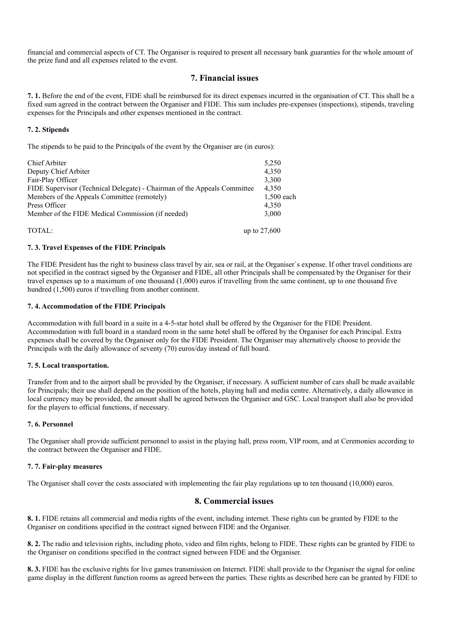financial and commercial aspects of CT. The Organiser is required to present all necessary bank guaranties for the whole amount of the prize fund and all expenses related to the event.

## **7. Financial issues**

**7. 1.** Before the end of the event, FIDE shall be reimbursed for its direct expenses incurred in the organisation of CT. This shall be a fixed sum agreed in the contract between the Organiser and FIDE. This sum includes pre-expenses (inspections), stipends, traveling expenses for the Principals and other expenses mentioned in the contract.

## **7. 2. Stipends**

The stipends to be paid to the Principals of the event by the Organiser are (in euros):

| 1,500 each |
|------------|
|            |
|            |
|            |
|            |
|            |

### **7. 3. Travel Expenses of the FIDE Principals**

The FIDE President has the right to business class travel by air, sea or rail, at the Organiser`s expense. If other travel conditions are not specified in the contract signed by the Organiser and FIDE, all other Principals shall be compensated by the Organiser for their travel expenses up to a maximum of one thousand (1,000) euros if travelling from the same continent, up to one thousand five hundred (1,500) euros if travelling from another continent.

#### **7. 4. Accommodation of the FIDE Principals**

Accommodation with full board in a suite in a 4-5-star hotel shall be offered by the Organiser for the FIDE President. Accommodation with full board in a standard room in the same hotel shall be offered by the Organiser for each Principal. Extra expenses shall be covered by the Organiser only for the FIDE President. The Organiser may alternatively choose to provide the Principals with the daily allowance of seventy (70) euros/day instead of full board.

#### **7. 5. Local transportation.**

Transfer from and to the airport shall be provided by the Organiser, if necessary. A sufficient number of cars shall be made available for Principals; their use shall depend on the position of the hotels, playing hall and media centre. Alternatively, a daily allowance in local currency may be provided, the amount shall be agreed between the Organiser and GSC. Local transport shall also be provided for the players to official functions, if necessary.

#### **7. 6. Personnel**

The Organiser shall provide sufficient personnel to assist in the playing hall, press room, VIP room, and at Ceremonies according to the contract between the Organiser and FIDE.

## **7. 7. Fair-play measures**

The Organiser shall cover the costs associated with implementing the fair play regulations up to ten thousand (10,000) euros.

## **8. Commercial issues**

**8. 1.** FIDE retains all commercial and media rights of the event, including internet. These rights can be granted by FIDE to the Organiser on conditions specified in the contract signed between FIDE and the Organiser.

**8. 2.** The radio and television rights, including photo, video and film rights, belong to FIDE. These rights can be granted by FIDE to the Organiser on conditions specified in the contract signed between FIDE and the Organiser.

**8. 3.** FIDE has the exclusive rights for live games transmission on Internet. FIDE shall provide to the Organiser the signal for online game display in the different function rooms as agreed between the parties. These rights as described here can be granted by FIDE to